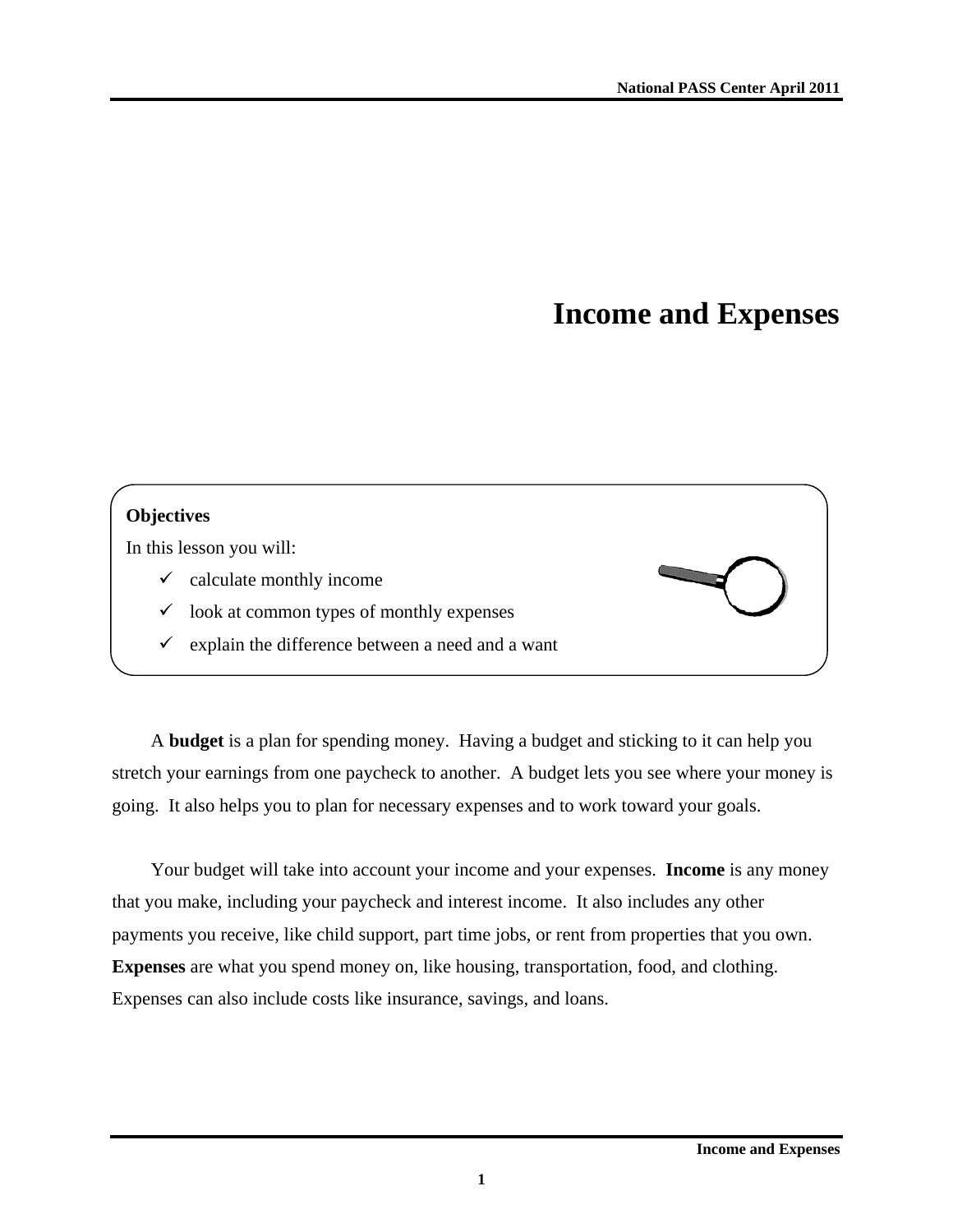# **Income and Expenses**

## **Objectives**

In this lesson you will:

- $\checkmark$  calculate monthly income
- look at common types of monthly expenses
- $\checkmark$  explain the difference between a need and a want

A **budget** is a plan for spending money. Having a budget and sticking to it can help you stretch your earnings from one paycheck to another. A budget lets you see where your money is going. It also helps you to plan for necessary expenses and to work toward your goals.

Your budget will take into account your income and your expenses. **Income** is any money that you make, including your paycheck and interest income. It also includes any other payments you receive, like child support, part time jobs, or rent from properties that you own. **Expenses** are what you spend money on, like housing, transportation, food, and clothing. Expenses can also include costs like insurance, savings, and loans.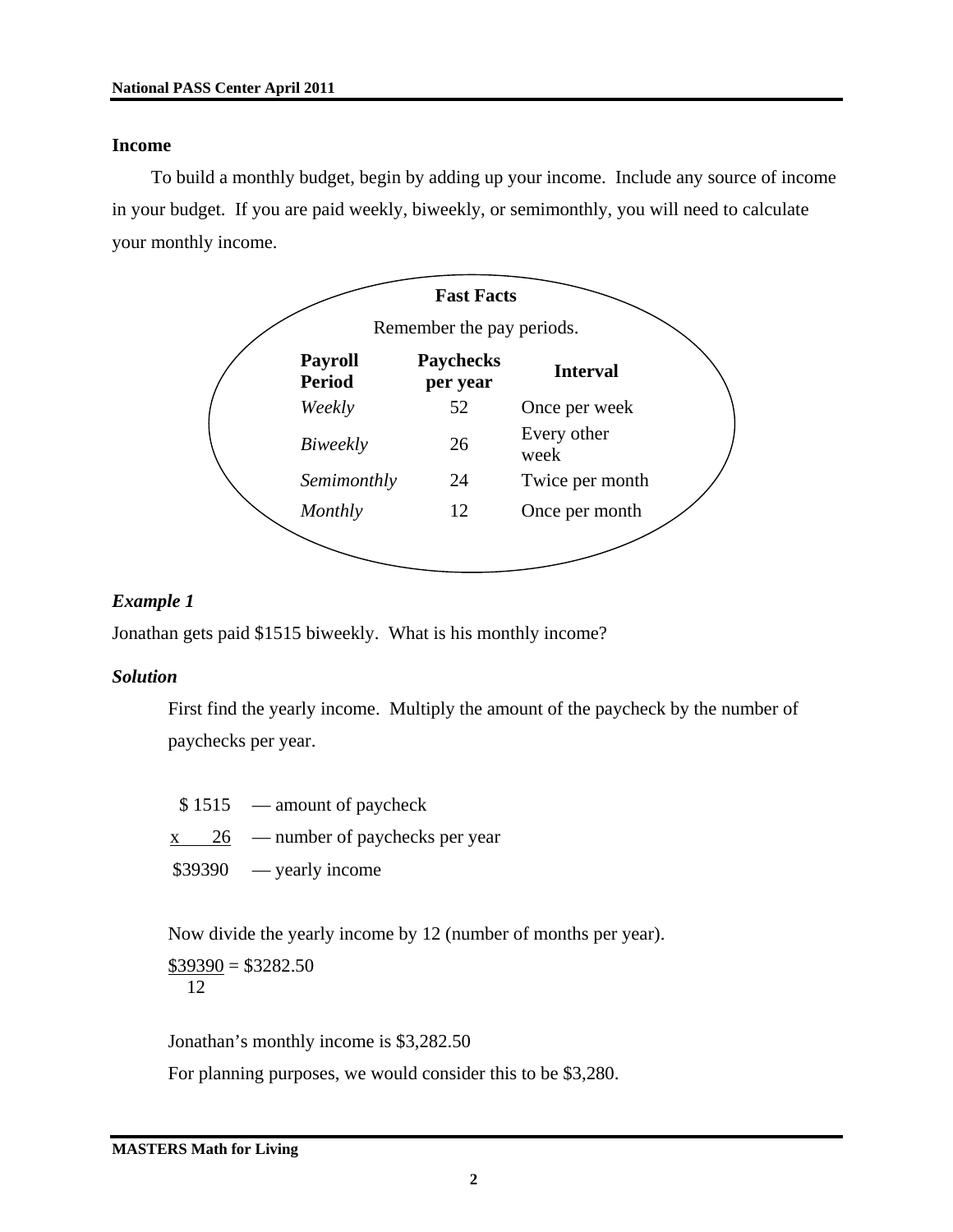#### **Income**

To build a monthly budget, begin by adding up your income. Include any source of income in your budget. If you are paid weekly, biweekly, or semimonthly, you will need to calculate your monthly income.



#### *Example 1*

Jonathan gets paid \$1515 biweekly. What is his monthly income?

#### *Solution*

First find the yearly income. Multiply the amount of the paycheck by the number of paychecks per year.

 $$1515$  — amount of paycheck

 $x \t 26$  — number of paychecks per year

 $$39390$  — yearly income

Now divide the yearly income by 12 (number of months per year).

 $$39390 = $3282.50$ 12

Jonathan's monthly income is \$3,282.50 For planning purposes, we would consider this to be \$3,280.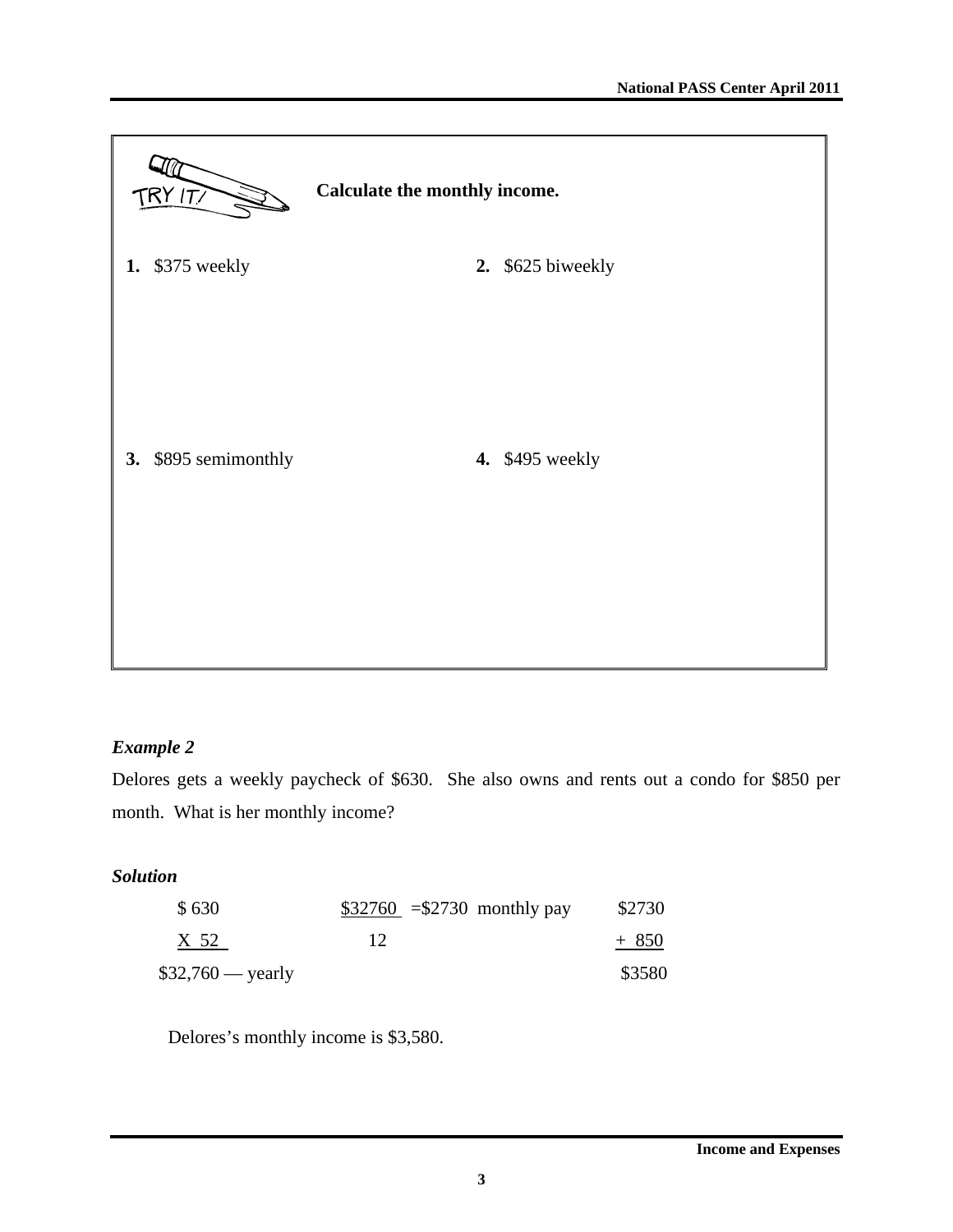

## *Example 2*

Delores gets a weekly paycheck of \$630. She also owns and rents out a condo for \$850 per month. What is her monthly income?

## *Solution*

| \$630              | $$32760 = $2730$ monthly pay | \$2730 |
|--------------------|------------------------------|--------|
| X 52               |                              | $+850$ |
| $$32,760$ — yearly |                              | \$3580 |

Delores's monthly income is \$3,580.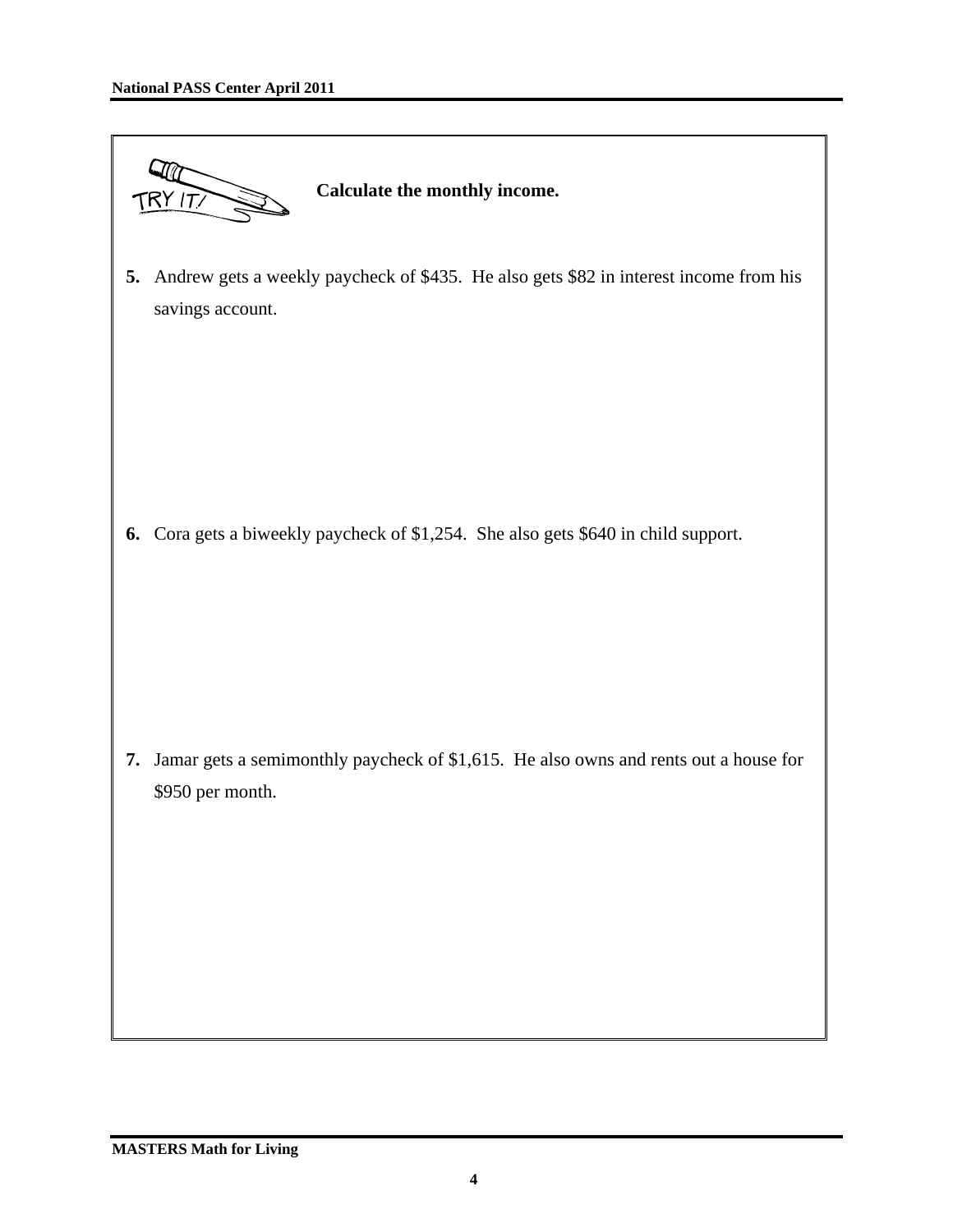|    | Calculate the monthly income.<br>TRY IT/                                                                  |
|----|-----------------------------------------------------------------------------------------------------------|
| 5. | Andrew gets a weekly paycheck of \$435. He also gets \$82 in interest income from his<br>savings account. |
|    | 6. Cora gets a biweekly paycheck of \$1,254. She also gets \$640 in child support.                        |
| 7. | Jamar gets a semimonthly paycheck of \$1,615. He also owns and rents out a house for<br>\$950 per month.  |
|    |                                                                                                           |

ı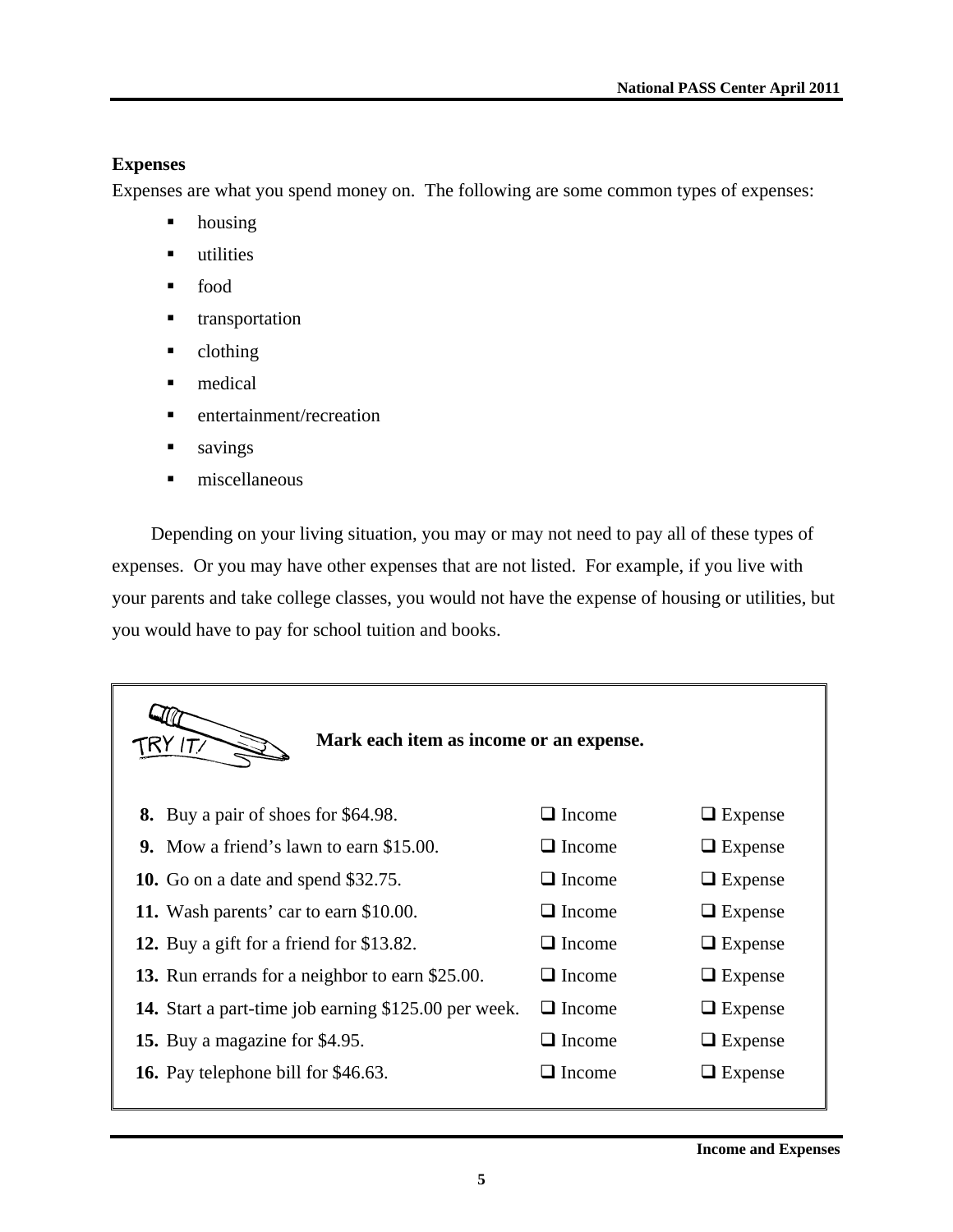## **Expenses**

Expenses are what you spend money on. The following are some common types of expenses:

- housing
- utilities
- food
- **u** transportation
- clothing
- **nedical**
- **n** entertainment/recreation
- savings
- $\blacksquare$  miscellaneous

Depending on your living situation, you may or may not need to pay all of these types of expenses. Or you may have other expenses that are not listed. For example, if you live with your parents and take college classes, you would not have the expense of housing or utilities, but you would have to pay for school tuition and books.

| Mark each item as income or an expense.                     |               |                |
|-------------------------------------------------------------|---------------|----------------|
| 8. Buy a pair of shoes for \$64.98.                         | $\Box$ Income | $\Box$ Expense |
| <b>9.</b> Mow a friend's lawn to earn \$15.00.              | $\Box$ Income | $\Box$ Expense |
| <b>10.</b> Go on a date and spend \$32.75.                  | $\Box$ Income | $\Box$ Expense |
| 11. Wash parents' car to earn \$10.00.                      | $\Box$ Income | $\Box$ Expense |
| 12. Buy a gift for a friend for \$13.82.                    | $\Box$ Income | $\Box$ Expense |
| <b>13.</b> Run errands for a neighbor to earn \$25.00.      | $\Box$ Income | $\Box$ Expense |
| <b>14.</b> Start a part-time job earning \$125.00 per week. | $\Box$ Income | $\Box$ Expense |
| 15. Buy a magazine for \$4.95.                              | $\Box$ Income | $\Box$ Expense |
| <b>16.</b> Pay telephone bill for \$46.63.                  | $\Box$ Income | $\Box$ Expense |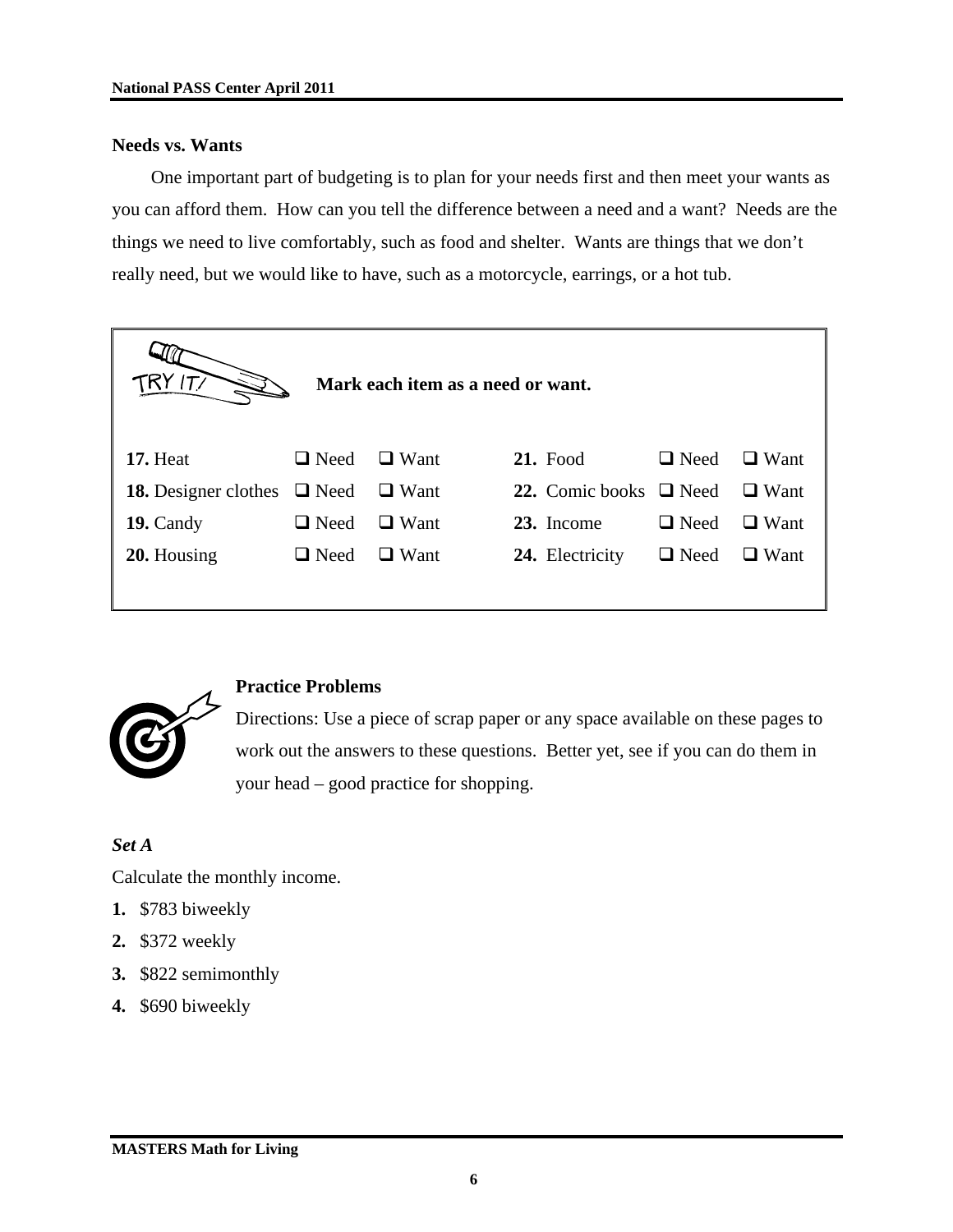#### **Needs vs. Wants**

One important part of budgeting is to plan for your needs first and then meet your wants as you can afford them. How can you tell the difference between a need and a want? Needs are the things we need to live comfortably, such as food and shelter. Wants are things that we don't really need, but we would like to have, such as a motorcycle, earrings, or a hot tub.

| T/                          |             | Mark each item as a need or want. |                             |             |             |
|-----------------------------|-------------|-----------------------------------|-----------------------------|-------------|-------------|
| 17. Heat                    | $\Box$ Need | $\Box$ Want                       | <b>21.</b> Food             | $\Box$ Need | $\Box$ Want |
| <b>18.</b> Designer clothes | $\Box$ Need | $\Box$ Want                       | 22. Comic books $\Box$ Need |             | $\Box$ Want |
| 19. Candy                   | $\Box$ Need | $\Box$ Want                       | 23. Income                  | $\Box$ Need | $\Box$ Want |
| 20. Housing                 | $\Box$ Need | $\Box$ Want                       | 24. Electricity             | $\Box$ Need | $\Box$ Want |
|                             |             |                                   |                             |             |             |



#### **Practice Problems**

Directions: Use a piece of scrap paper or any space available on these pages to work out the answers to these questions. Better yet, see if you can do them in your head – good practice for shopping.

#### *Set A*

Calculate the monthly income.

- **1.** \$783 biweekly
- **2.** \$372 weekly
- **3.** \$822 semimonthly
- **4.** \$690 biweekly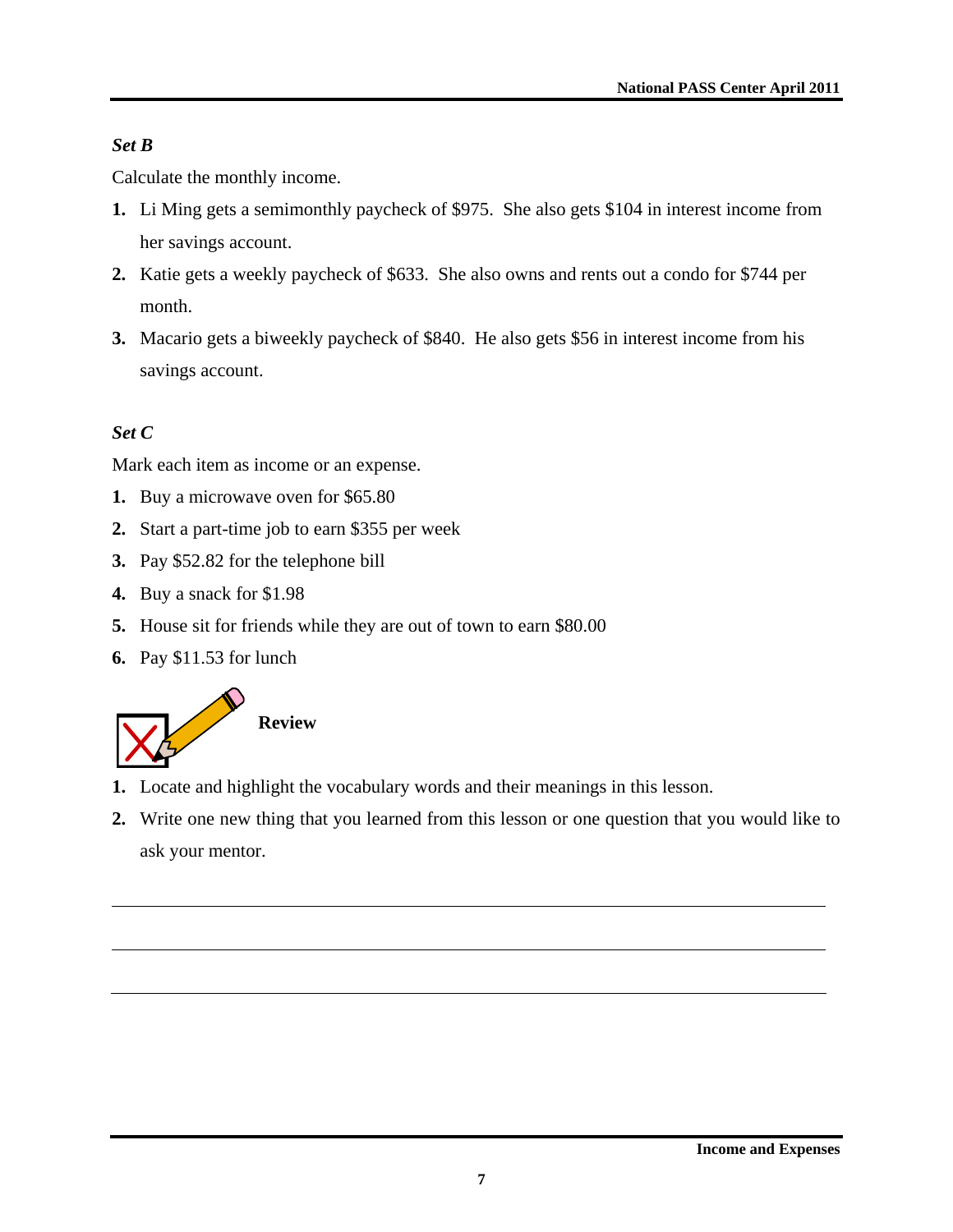## *Set B*

Calculate the monthly income.

- **1.** Li Ming gets a semimonthly paycheck of \$975. She also gets \$104 in interest income from her savings account.
- **2.** Katie gets a weekly paycheck of \$633. She also owns and rents out a condo for \$744 per month.
- **3.** Macario gets a biweekly paycheck of \$840. He also gets \$56 in interest income from his savings account.

## *Set C*

Mark each item as income or an expense.

- **1.** Buy a microwave oven for \$65.80
- **2.** Start a part-time job to earn \$355 per week
- **3.** Pay \$52.82 for the telephone bill
- **4.** Buy a snack for \$1.98
- **5.** House sit for friends while they are out of town to earn \$80.00
- **6.** Pay \$11.53 for lunch



- **1.** Locate and highlight the vocabulary words and their meanings in this lesson.
- **2.** Write one new thing that you learned from this lesson or one question that you would like to ask your mentor.